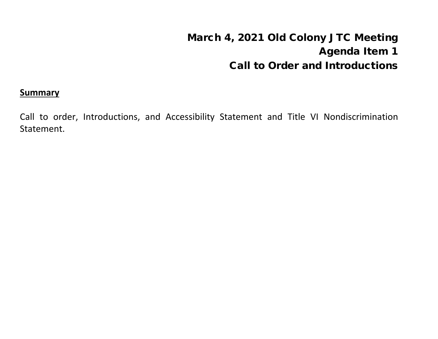# March 4, 2021 Old Colony JTC Meeting Agenda Item 1 Call to Order and Introductions

#### **Summary**

Call to order, Introductions, and Accessibility Statement and Title VI Nondiscrimination Statement.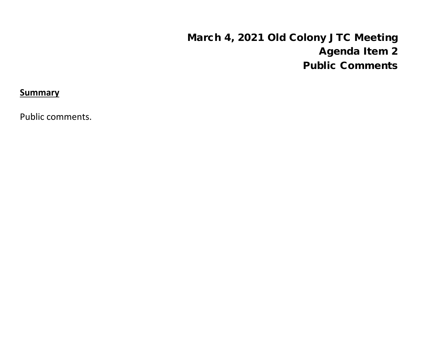# March 4, 2021 Old Colony JTC Meeting Agenda Item 2 Public Comments

**Summary**

Public comments.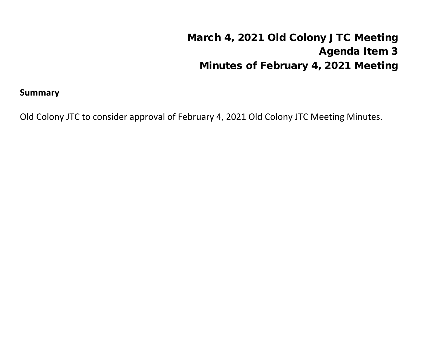# March 4, 2021 Old Colony JTC Meeting Agenda Item 3 Minutes of February 4, 2021 Meeting

#### **Summary**

Old Colony JTC to consider approval of February 4, 2021 Old Colony JTC Meeting Minutes.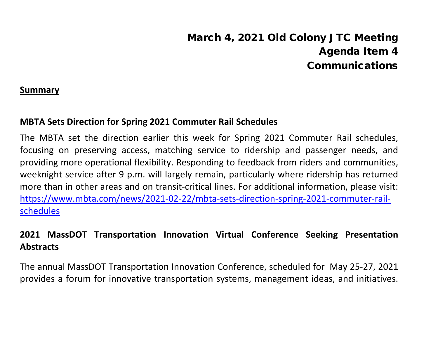# March 4, 2021 Old Colony JTC Meeting Agenda Item 4 Communications

#### **Summary**

### **MBTA Sets Direction for Spring 2021 Commuter Rail Schedules**

The MBTA set the direction earlier this week for Spring 2021 Commuter Rail schedules, focusing on preserving access, matching service to ridership and passenger needs, and providing more operational flexibility. Responding to feedback from riders and communities, weeknight service after 9 p.m. will largely remain, particularly where ridership has returned more than in other areas and on transit-critical lines. For additional information, please visit: [https://www.mbta.com/news/2021-02-22/mbta-sets-direction-spring-2021-commuter-rail](about:blank)[schedules](about:blank)

# **2021 MassDOT Transportation Innovation Virtual Conference Seeking Presentation Abstracts**

The annual MassDOT Transportation Innovation Conference, scheduled for May 25-27, 2021 provides a forum for innovative transportation systems, management ideas, and initiatives.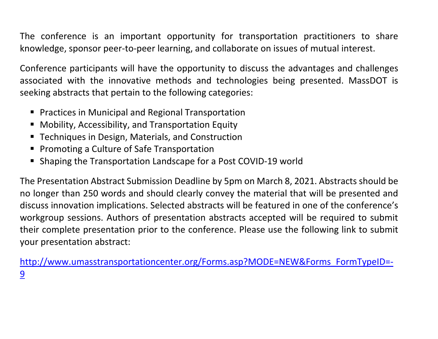The conference is an important opportunity for transportation practitioners to share knowledge, sponsor peer-to-peer learning, and collaborate on issues of mutual interest.

Conference participants will have the opportunity to discuss the advantages and challenges associated with the innovative methods and technologies being presented. MassDOT is seeking abstracts that pertain to the following categories:

- Practices in Municipal and Regional Transportation
- **Mobility, Accessibility, and Transportation Equity**
- **Techniques in Design, Materials, and Construction**
- **Promoting a Culture of Safe Transportation**
- Shaping the Transportation Landscape for a Post COVID-19 world

The Presentation Abstract Submission Deadline by 5pm on March 8, 2021. Abstracts should be no longer than 250 words and should clearly convey the material that will be presented and discuss innovation implications. Selected abstracts will be featured in one of the conference's workgroup sessions. Authors of presentation abstracts accepted will be required to submit their complete presentation prior to the conference. Please use the following link to submit your presentation abstract:

[http://www.umasstransportationcenter.org/Forms.asp?MODE=NEW&Forms\\_FormTypeID=-](http://www.umasstransportationcenter.org/Forms.asp?MODE=NEW&Forms_FormTypeID=-9) [9](http://www.umasstransportationcenter.org/Forms.asp?MODE=NEW&Forms_FormTypeID=-9)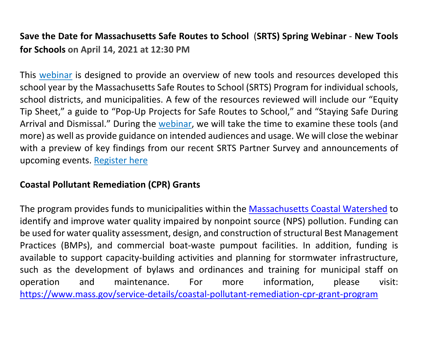# **Save the Date for Massachusetts Safe Routes to School** (**SRTS) Spring Webinar** - **New Tools for Schools on April 14, 2021 at 12:30 PM**

This [webinar](about:blank) is designed to provide an overview of new tools and resources developed this school year by the Massachusetts Safe Routes to School (SRTS) Program for individual schools, school districts, and municipalities. A few of the resources reviewed will include our "Equity Tip Sheet," a guide to "Pop-Up Projects for Safe Routes to School," and "Staying Safe During Arrival and Dismissal." During the [webinar,](about:blank) we will take the time to examine these tools (and more) as well as provide guidance on intended audiences and usage. We will close the webinar with a preview of key findings from our recent SRTS Partner Survey and announcements of upcoming events. [Register](about:blank) here

## **Coastal Pollutant Remediation (CPR) Grants**

The program provides funds to municipalities within the [Massachusetts Coastal Watershed](about:blank) to identify and improve water quality impaired by nonpoint source (NPS) pollution. Funding can be used for water quality assessment, design, and construction of structural Best Management Practices (BMPs), and commercial boat-waste pumpout facilities. In addition, funding is available to support capacity-building activities and planning for stormwater infrastructure, such as the development of bylaws and ordinances and training for municipal staff on operation and maintenance. For more information, please visit: [https://www.mass.gov/service-details/coastal-pollutant-remediation-cpr-grant-program](about:blank)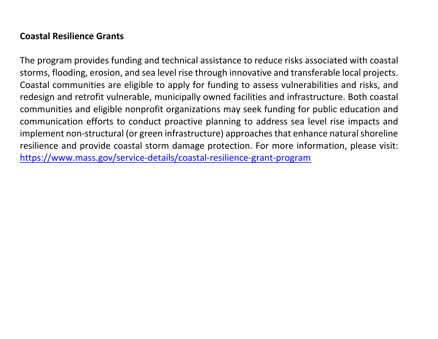## **Coastal Resilience Grants**

The program provides funding and technical assistance to reduce risks associated with coastal storms, flooding, erosion, and sea level rise through innovative and transferable local projects. Coastal communities are eligible to apply for funding to assess vulnerabilities and risks, and redesign and retrofit vulnerable, municipally owned facilities and infrastructure. Both coastal communities and eligible nonprofit organizations may seek funding for public education and communication efforts to conduct proactive planning to address sea level rise impacts and implement non-structural (or green infrastructure) approaches that enhance natural shoreline resilience and provide coastal storm damage protection. For more information, please visit: [https://www.mass.gov/service-details/coastal-resilience-grant-program](about:blank)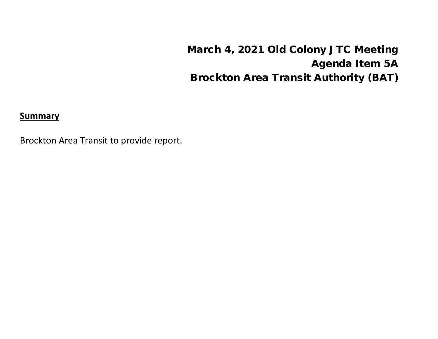March 4, 2021 Old Colony JTC Meeting Agenda Item 5A Brockton Area Transit Authority (BAT)

**Summary**

Brockton Area Transit to provide report.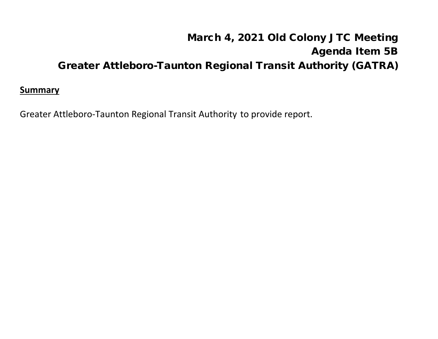# March 4, 2021 Old Colony JTC Meeting Agenda Item 5B Greater Attleboro-Taunton Regional Transit Authority (GATRA)

#### **Summary**

Greater Attleboro-Taunton Regional Transit Authority to provide report.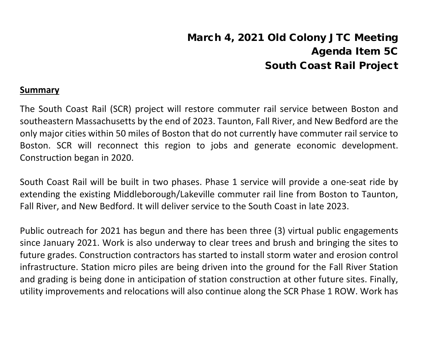# March 4, 2021 Old Colony JTC Meeting Agenda Item 5C South Coast Rail Project

#### **Summary**

The South Coast Rail (SCR) project will restore commuter rail service between Boston and southeastern Massachusetts by the end of 2023. Taunton, Fall River, and New Bedford are the only major cities within 50 miles of Boston that do not currently have commuter rail service to Boston. SCR will reconnect this region to jobs and generate economic development. Construction began in 2020.

South Coast Rail will be built in two phases. Phase 1 service will provide a one-seat ride by extending the existing Middleborough/Lakeville commuter rail line from Boston to Taunton, Fall River, and New Bedford. It will deliver service to the South Coast in late 2023.

Public outreach for 2021 has begun and there has been three (3) virtual public engagements since January 2021. Work is also underway to clear trees and brush and bringing the sites to future grades. Construction contractors has started to install storm water and erosion control infrastructure. Station micro piles are being driven into the ground for the Fall River Station and grading is being done in anticipation of station construction at other future sites. Finally, utility improvements and relocations will also continue along the SCR Phase 1 ROW. Work has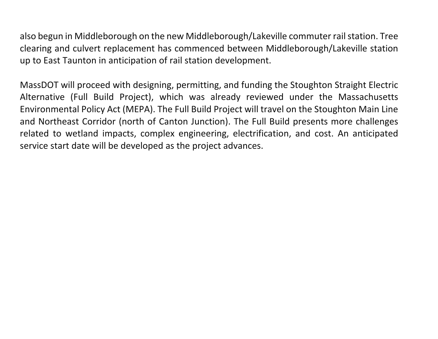also begun in Middleborough on the new Middleborough/Lakeville commuter rail station. Tree clearing and culvert replacement has commenced between Middleborough/Lakeville station up to East Taunton in anticipation of rail station development.

MassDOT will proceed with designing, permitting, and funding the Stoughton Straight Electric Alternative (Full Build Project), which was already reviewed under the Massachusetts Environmental Policy Act (MEPA). The Full Build Project will travel on the Stoughton Main Line and Northeast Corridor (north of Canton Junction). The Full Build presents more challenges related to wetland impacts, complex engineering, electrification, and cost. An anticipated service start date will be developed as the project advances.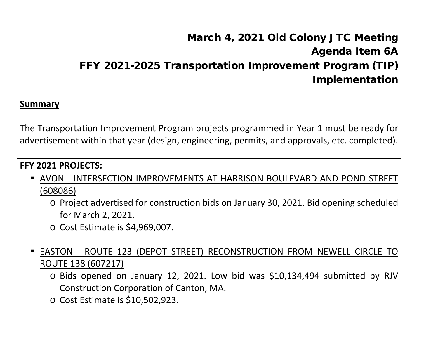# March 4, 2021 Old Colony JTC Meeting Agenda Item 6A FFY 2021-2025 Transportation Improvement Program (TIP) Implementation

#### **Summary**

The Transportation Improvement Program projects programmed in Year 1 must be ready for advertisement within that year (design, engineering, permits, and approvals, etc. completed).

### **FFY 2021 PROJECTS:**

- AVON INTERSECTION IMPROVEMENTS AT HARRISON BOULEVARD AND POND STREET (608086)
	- o Project advertised for construction bids on January 30, 2021. Bid opening scheduled for March 2, 2021.
	- o Cost Estimate is \$4,969,007.
- EASTON ROUTE 123 (DEPOT STREET) RECONSTRUCTION FROM NEWELL CIRCLE TO ROUTE 138 (607217)
	- o Bids opened on January 12, 2021. Low bid was \$10,134,494 submitted by RJV Construction Corporation of Canton, MA.
	- o Cost Estimate is \$10,502,923.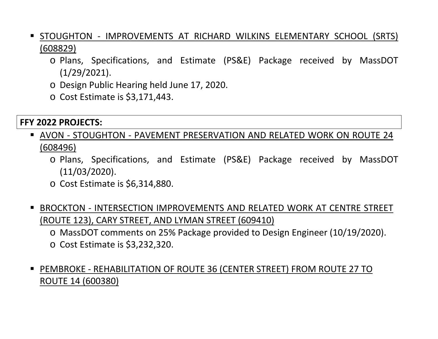- STOUGHTON IMPROVEMENTS AT RICHARD WILKINS ELEMENTARY SCHOOL (SRTS) (608829)
	- o Plans, Specifications, and Estimate (PS&E) Package received by MassDOT (1/29/2021).
	- o Design Public Hearing held June 17, 2020.
	- o Cost Estimate is \$3,171,443.

### **FFY 2022 PROJECTS:**

- AVON STOUGHTON PAVEMENT PRESERVATION AND RELATED WORK ON ROUTE 24 (608496)
	- o Plans, Specifications, and Estimate (PS&E) Package received by MassDOT (11/03/2020).
	- o Cost Estimate is \$6,314,880.
- BROCKTON INTERSECTION IMPROVEMENTS AND RELATED WORK AT CENTRE STREET (ROUTE 123), CARY STREET, AND LYMAN STREET (609410)
	- o MassDOT comments on 25% Package provided to Design Engineer (10/19/2020).
	- o Cost Estimate is \$3,232,320.
- PEMBROKE REHABILITATION OF ROUTE 36 (CENTER STREET) FROM ROUTE 27 TO ROUTE 14 (600380)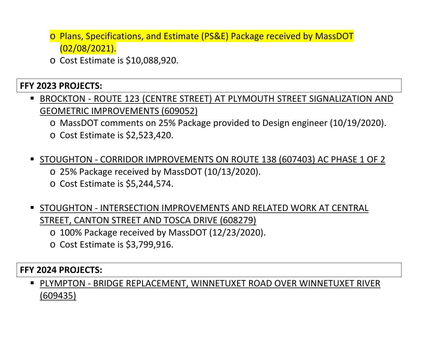- o Plans, Specifications, and Estimate (PS&E) Package received by MassDOT (02/08/2021).
- o Cost Estimate is \$10,088,920.

## **FFY 2023 PROJECTS:**

- BROCKTON ROUTE 123 (CENTRE STREET) AT PLYMOUTH STREET SIGNALIZATION AND GEOMETRIC IMPROVEMENTS (609052)
	- o MassDOT comments on 25% Package provided to Design engineer (10/19/2020).
	- o Cost Estimate is \$2,523,420.
- STOUGHTON CORRIDOR IMPROVEMENTS ON ROUTE 138 (607403) AC PHASE 1 OF 2 o 25% Package received by MassDOT (10/13/2020).
	- o Cost Estimate is \$5,244,574.
- STOUGHTON INTERSECTION IMPROVEMENTS AND RELATED WORK AT CENTRAL STREET, CANTON STREET AND TOSCA DRIVE (608279)
	- o 100% Package received by MassDOT (12/23/2020).
	- o Cost Estimate is \$3,799,916.

### **FFY 2024 PROJECTS:**

 PLYMPTON - BRIDGE REPLACEMENT, WINNETUXET ROAD OVER WINNETUXET RIVER (609435)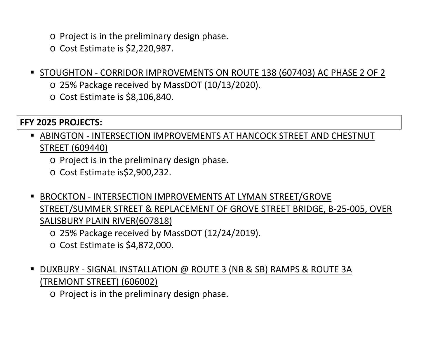- o Project is in the preliminary design phase.
- o Cost Estimate is \$2,220,987.
- STOUGHTON CORRIDOR IMPROVEMENTS ON ROUTE 138 (607403) AC PHASE 2 OF 2
	- o 25% Package received by MassDOT (10/13/2020).
	- o Cost Estimate is \$8,106,840.

### **FFY 2025 PROJECTS:**

- ABINGTON INTERSECTION IMPROVEMENTS AT HANCOCK STREET AND CHESTNUT STREET (609440)
	- o Project is in the preliminary design phase.
	- o Cost Estimate is\$2,900,232.
- BROCKTON INTERSECTION IMPROVEMENTS AT LYMAN STREET/GROVE STREET/SUMMER STREET & REPLACEMENT OF GROVE STREET BRIDGE, B-25-005, OVER SALISBURY PLAIN RIVER(607818)
	- o 25% Package received by MassDOT (12/24/2019).
	- o Cost Estimate is \$4,872,000.
- DUXBURY SIGNAL INSTALLATION @ ROUTE 3 (NB & SB) RAMPS & ROUTE 3A (TREMONT STREET) (606002)

o Project is in the preliminary design phase.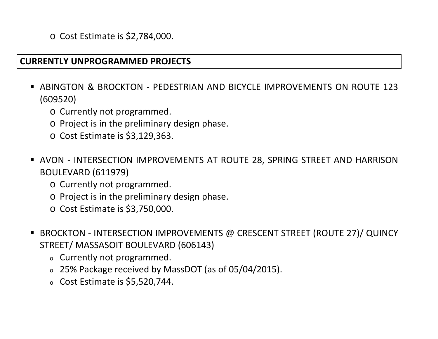o Cost Estimate is \$2,784,000.

#### **CURRENTLY UNPROGRAMMED PROJECTS**

- ABINGTON & BROCKTON PEDESTRIAN AND BICYCLE IMPROVEMENTS ON ROUTE 123 (609520)
	- o Currently not programmed.
	- o Project is in the preliminary design phase.
	- o Cost Estimate is \$3,129,363.
- AVON INTERSECTION IMPROVEMENTS AT ROUTE 28, SPRING STREET AND HARRISON BOULEVARD (611979)
	- o Currently not programmed.
	- o Project is in the preliminary design phase.
	- o Cost Estimate is \$3,750,000.
- BROCKTON INTERSECTION IMPROVEMENTS @ CRESCENT STREET (ROUTE 27)/ QUINCY STREET/ MASSASOIT BOULEVARD (606143)
	- <sup>o</sup> Currently not programmed.
	- <sup>o</sup> 25% Package received by MassDOT (as of 05/04/2015).
	- <sup>o</sup> Cost Estimate is \$5,520,744.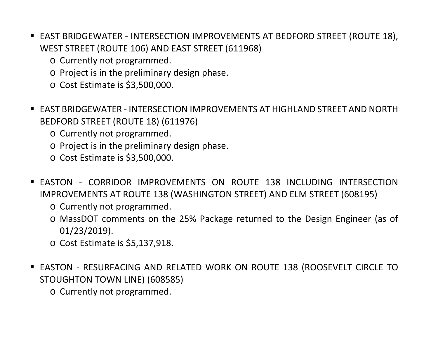- EAST BRIDGEWATER INTERSECTION IMPROVEMENTS AT BEDFORD STREET (ROUTE 18), WEST STREET (ROUTE 106) AND EAST STREET (611968)
	- o Currently not programmed.
	- o Project is in the preliminary design phase.
	- o Cost Estimate is \$3,500,000.
- EAST BRIDGEWATER INTERSECTION IMPROVEMENTS AT HIGHLAND STREET AND NORTH BEDFORD STREET (ROUTE 18) (611976)
	- o Currently not programmed.
	- o Project is in the preliminary design phase.
	- o Cost Estimate is \$3,500,000.
- **EASTON CORRIDOR IMPROVEMENTS ON ROUTE 138 INCLUDING INTERSECTION** IMPROVEMENTS AT ROUTE 138 (WASHINGTON STREET) AND ELM STREET (608195)
	- o Currently not programmed.
	- o MassDOT comments on the 25% Package returned to the Design Engineer (as of 01/23/2019).
	- o Cost Estimate is \$5,137,918.
- EASTON RESURFACING AND RELATED WORK ON ROUTE 138 (ROOSEVELT CIRCLE TO STOUGHTON TOWN LINE) (608585)
	- o Currently not programmed.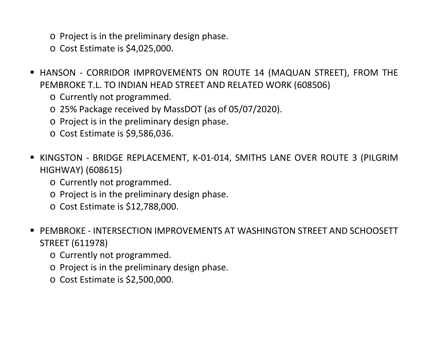- o Project is in the preliminary design phase.
- o Cost Estimate is \$4,025,000.
- HANSON CORRIDOR IMPROVEMENTS ON ROUTE 14 (MAQUAN STREET), FROM THE PEMBROKE T.L. TO INDIAN HEAD STREET AND RELATED WORK (608506)
	- o Currently not programmed.
	- o 25% Package received by MassDOT (as of 05/07/2020).
	- o Project is in the preliminary design phase.
	- o Cost Estimate is \$9,586,036.
- KINGSTON BRIDGE REPLACEMENT, K-01-014, SMITHS LANE OVER ROUTE 3 (PILGRIM HIGHWAY) (608615)
	- o Currently not programmed.
	- o Project is in the preliminary design phase.
	- o Cost Estimate is \$12,788,000.
- PEMBROKE INTERSECTION IMPROVEMENTS AT WASHINGTON STREET AND SCHOOSETT STREET (611978)
	- o Currently not programmed.
	- o Project is in the preliminary design phase.
	- o Cost Estimate is \$2,500,000.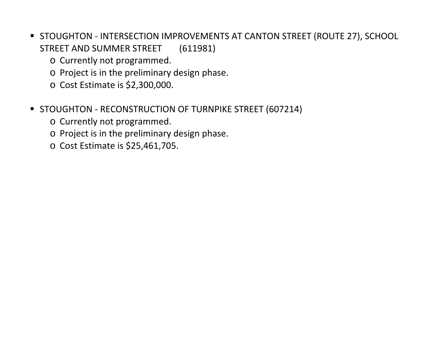- **STOUGHTON INTERSECTION IMPROVEMENTS AT CANTON STREET (ROUTE 27), SCHOOL** STREET AND SUMMER STREET (611981)
	- o Currently not programmed.
	- o Project is in the preliminary design phase.
	- o Cost Estimate is \$2,300,000.
- **STOUGHTON RECONSTRUCTION OF TURNPIKE STREET (607214)** 
	- o Currently not programmed.
	- o Project is in the preliminary design phase.
	- o Cost Estimate is \$25,461,705.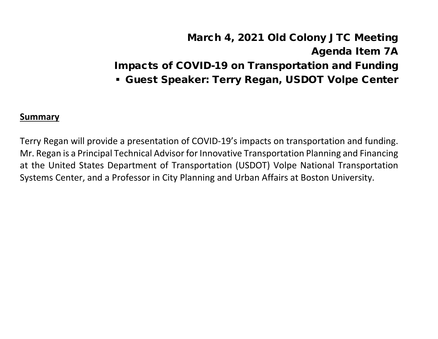# March 4, 2021 Old Colony JTC Meeting Agenda Item 7A Impacts of COVID-19 on Transportation and Funding Guest Speaker: Terry Regan, USDOT Volpe Center

#### **Summary**

Terry Regan will provide a presentation of COVID-19's impacts on transportation and funding. Mr. Regan is a Principal Technical Advisor for Innovative Transportation Planning and Financing at the United States Department of Transportation (USDOT) Volpe National Transportation Systems Center, and a Professor in City Planning and Urban Affairs at Boston University.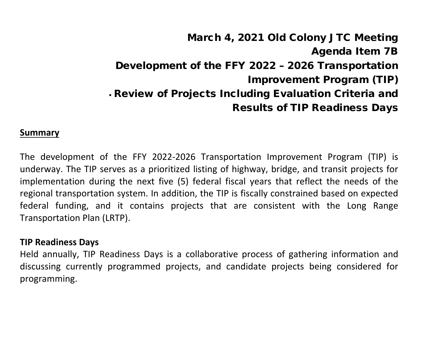# March 4, 2021 Old Colony JTC Meeting Agenda Item 7B Development of the FFY 2022 – 2026 Transportation Improvement Program (TIP) Review of Projects Including Evaluation Criteria and Results of TIP Readiness Days

#### **Summary**

The development of the FFY 2022-2026 Transportation Improvement Program (TIP) is underway. The TIP serves as a prioritized listing of highway, bridge, and transit projects for implementation during the next five (5) federal fiscal years that reflect the needs of the regional transportation system. In addition, the TIP is fiscally constrained based on expected federal funding, and it contains projects that are consistent with the Long Range Transportation Plan (LRTP).

#### **TIP Readiness Days**

Held annually, TIP Readiness Days is a collaborative process of gathering information and discussing currently programmed projects, and candidate projects being considered for programming.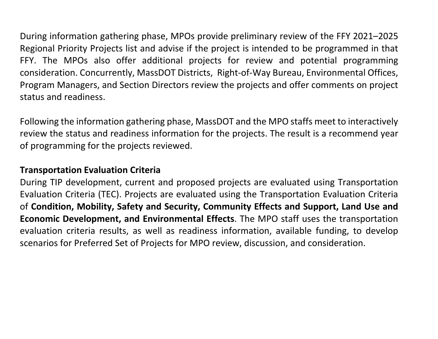During information gathering phase, MPOs provide preliminary review of the FFY 2021–2025 Regional Priority Projects list and advise if the project is intended to be programmed in that FFY. The MPOs also offer additional projects for review and potential programming consideration. Concurrently, MassDOT Districts, Right-of-Way Bureau, Environmental Offices, Program Managers, and Section Directors review the projects and offer comments on project status and readiness.

Following the information gathering phase, MassDOT and the MPO staffs meet to interactively review the status and readiness information for the projects. The result is a recommend year of programming for the projects reviewed.

### **Transportation Evaluation Criteria**

During TIP development, current and proposed projects are evaluated using Transportation Evaluation Criteria (TEC). Projects are evaluated using the Transportation Evaluation Criteria of **Condition, Mobility, Safety and Security, Community Effects and Support, Land Use and Economic Development, and Environmental Effects**. The MPO staff uses the transportation evaluation criteria results, as well as readiness information, available funding, to develop scenarios for Preferred Set of Projects for MPO review, discussion, and consideration.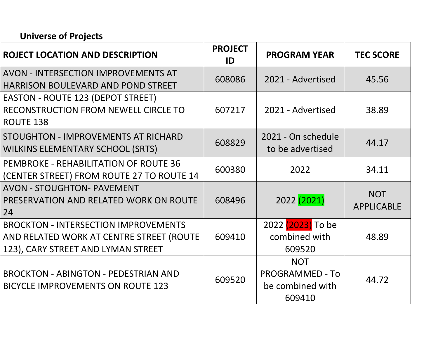# **Universe of Projects**

| <b>ROJECT LOCATION AND DESCRIPTION</b>                                                                                        | <b>PROJECT</b><br>ID | <b>PROGRAM YEAR</b>                                                | <b>TEC SCORE</b>                |
|-------------------------------------------------------------------------------------------------------------------------------|----------------------|--------------------------------------------------------------------|---------------------------------|
| <b>AVON - INTERSECTION IMPROVEMENTS AT</b><br><b>HARRISON BOULEVARD AND POND STREET</b>                                       | 608086               | 2021 - Advertised                                                  | 45.56                           |
| <b>EASTON - ROUTE 123 (DEPOT STREET)</b><br>RECONSTRUCTION FROM NEWELL CIRCLE TO<br><b>ROUTE 138</b>                          | 607217               | 2021 - Advertised                                                  | 38.89                           |
| STOUGHTON - IMPROVEMENTS AT RICHARD<br><b>WILKINS ELEMENTARY SCHOOL (SRTS)</b>                                                | 608829               | 2021 - On schedule<br>to be advertised                             | 44.17                           |
| <b>PEMBROKE - REHABILITATION OF ROUTE 36</b><br>(CENTER STREET) FROM ROUTE 27 TO ROUTE 14                                     | 600380               | 2022                                                               | 34.11                           |
| <b>AVON - STOUGHTON- PAVEMENT</b><br>PRESERVATION AND RELATED WORK ON ROUTE<br>24                                             | 608496               | 2022 (2021)                                                        | <b>NOT</b><br><b>APPLICABLE</b> |
| <b>BROCKTON - INTERSECTION IMPROVEMENTS</b><br>AND RELATED WORK AT CENTRE STREET (ROUTE<br>123), CARY STREET AND LYMAN STREET | 609410               | 2022 (2023) To be<br>combined with<br>609520                       | 48.89                           |
| <b>BROCKTON - ABINGTON - PEDESTRIAN AND</b><br><b>BICYCLE IMPROVEMENTS ON ROUTE 123</b>                                       | 609520               | <b>NOT</b><br><b>PROGRAMMED - To</b><br>be combined with<br>609410 | 44.72                           |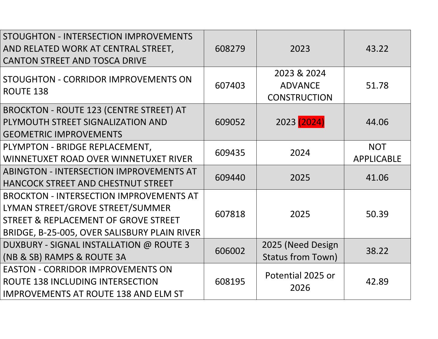| STOUGHTON - INTERSECTION IMPROVEMENTS<br>AND RELATED WORK AT CENTRAL STREET,<br><b>CANTON STREET AND TOSCA DRIVE</b>                                                       | 608279 | 2023                                                 | 43.22                           |
|----------------------------------------------------------------------------------------------------------------------------------------------------------------------------|--------|------------------------------------------------------|---------------------------------|
| STOUGHTON - CORRIDOR IMPROVEMENTS ON<br><b>ROUTE 138</b>                                                                                                                   | 607403 | 2023 & 2024<br><b>ADVANCE</b><br><b>CONSTRUCTION</b> | 51.78                           |
| <b>BROCKTON - ROUTE 123 (CENTRE STREET) AT</b><br>PLYMOUTH STREET SIGNALIZATION AND<br><b>GEOMETRIC IMPROVEMENTS</b>                                                       | 609052 | 2023 (2024)                                          | 44.06                           |
| PLYMPTON - BRIDGE REPLACEMENT,<br>WINNETUXET ROAD OVER WINNETUXET RIVER                                                                                                    | 609435 | 2024                                                 | <b>NOT</b><br><b>APPLICABLE</b> |
| <b>ABINGTON - INTERSECTION IMPROVEMENTS AT</b><br>HANCOCK STREET AND CHESTNUT STREET                                                                                       | 609440 | 2025                                                 | 41.06                           |
| <b>BROCKTON - INTERSECTION IMPROVEMENTS AT</b><br>LYMAN STREET/GROVE STREET/SUMMER<br>STREET & REPLACEMENT OF GROVE STREET<br>BRIDGE, B-25-005, OVER SALISBURY PLAIN RIVER | 607818 | 2025                                                 | 50.39                           |
| DUXBURY - SIGNAL INSTALLATION @ ROUTE 3<br>(NB & SB) RAMPS & ROUTE 3A                                                                                                      | 606002 | 2025 (Need Design<br><b>Status from Town)</b>        | 38.22                           |
| <b>EASTON - CORRIDOR IMPROVEMENTS ON</b><br>ROUTE 138 INCLUDING INTERSECTION<br><b>IMPROVEMENTS AT ROUTE 138 AND ELM ST</b>                                                | 608195 | Potential 2025 or<br>2026                            | 42.89                           |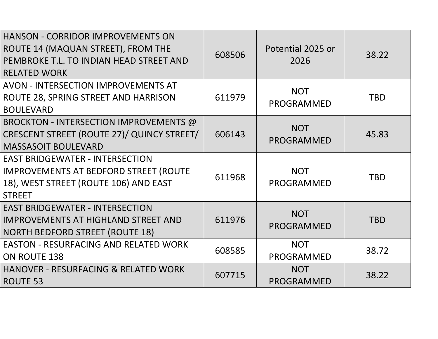| <b>HANSON - CORRIDOR IMPROVEMENTS ON</b><br>ROUTE 14 (MAQUAN STREET), FROM THE<br>PEMBROKE T.L. TO INDIAN HEAD STREET AND<br><b>RELATED WORK</b> | 608506 | Potential 2025 or<br>2026       | 38.22      |
|--------------------------------------------------------------------------------------------------------------------------------------------------|--------|---------------------------------|------------|
| <b>AVON - INTERSECTION IMPROVEMENTS AT</b><br>ROUTE 28, SPRING STREET AND HARRISON<br><b>BOULEVARD</b>                                           | 611979 | <b>NOT</b><br><b>PROGRAMMED</b> | <b>TBD</b> |
| BROCKTON - INTERSECTION IMPROVEMENTS @<br>CRESCENT STREET (ROUTE 27)/ QUINCY STREET/<br><b>MASSASOIT BOULEVARD</b>                               | 606143 | <b>NOT</b><br><b>PROGRAMMED</b> | 45.83      |
| <b>EAST BRIDGEWATER - INTERSECTION</b><br><b>IMPROVEMENTS AT BEDFORD STREET (ROUTE</b><br>18), WEST STREET (ROUTE 106) AND EAST<br><b>STREET</b> | 611968 | <b>NOT</b><br><b>PROGRAMMED</b> | <b>TBD</b> |
| <b>EAST BRIDGEWATER - INTERSECTION</b><br><b>IMPROVEMENTS AT HIGHLAND STREET AND</b><br><b>NORTH BEDFORD STREET (ROUTE 18)</b>                   | 611976 | <b>NOT</b><br><b>PROGRAMMED</b> | <b>TBD</b> |
| <b>EASTON - RESURFACING AND RELATED WORK</b><br>ON ROUTE 138                                                                                     | 608585 | <b>NOT</b><br><b>PROGRAMMED</b> | 38.72      |
| <b>HANOVER - RESURFACING &amp; RELATED WORK</b><br>ROUTE 53                                                                                      | 607715 | <b>NOT</b><br><b>PROGRAMMED</b> | 38.22      |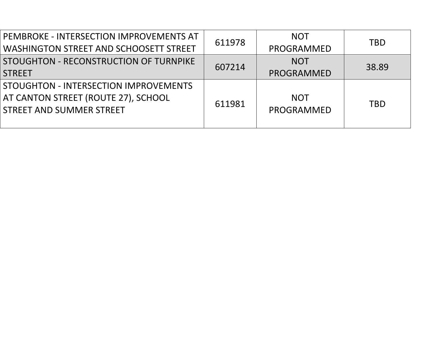| PEMBROKE - INTERSECTION IMPROVEMENTS AT<br><b>WASHINGTON STREET AND SCHOOSETT STREET</b>                 | 611978 | <b>NOT</b><br>PROGRAMMED | <b>TBD</b> |
|----------------------------------------------------------------------------------------------------------|--------|--------------------------|------------|
| STOUGHTON - RECONSTRUCTION OF TURNPIKE<br><b>STREET</b>                                                  | 607214 | <b>NOT</b><br>PROGRAMMED | 38.89      |
| STOUGHTON - INTERSECTION IMPROVEMENTS<br>AT CANTON STREET (ROUTE 27), SCHOOL<br>STREET AND SUMMER STREET | 611981 | <b>NOT</b><br>PROGRAMMED | <b>TBD</b> |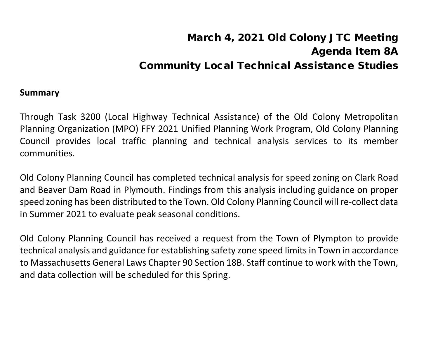# March 4, 2021 Old Colony JTC Meeting Agenda Item 8A Community Local Technical Assistance Studies

#### **Summary**

Through Task 3200 (Local Highway Technical Assistance) of the Old Colony Metropolitan Planning Organization (MPO) FFY 2021 Unified Planning Work Program, Old Colony Planning Council provides local traffic planning and technical analysis services to its member communities.

Old Colony Planning Council has completed technical analysis for speed zoning on Clark Road and Beaver Dam Road in Plymouth. Findings from this analysis including guidance on proper speed zoning has been distributed to the Town. Old Colony Planning Council will re-collect data in Summer 2021 to evaluate peak seasonal conditions.

Old Colony Planning Council has received a request from the Town of Plympton to provide technical analysis and guidance for establishing safety zone speed limits in Town in accordance to Massachusetts General Laws Chapter 90 Section 18B. Staff continue to work with the Town, and data collection will be scheduled for this Spring.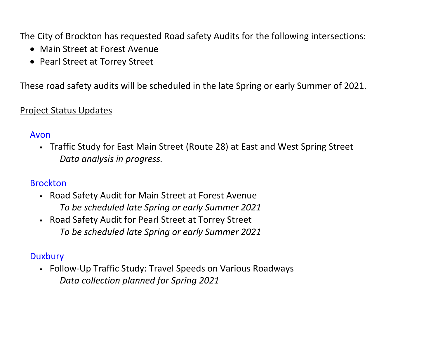The City of Brockton has requested Road safety Audits for the following intersections:

- Main Street at Forest Avenue
- Pearl Street at Torrey Street

These road safety audits will be scheduled in the late Spring or early Summer of 2021.

## Project Status Updates

### Avon

 Traffic Study for East Main Street (Route 28) at East and West Spring Street *Data analysis in progress.* 

## Brockton

- Road Safety Audit for Main Street at Forest Avenue *To be scheduled late Spring or early Summer 2021*
- Road Safety Audit for Pearl Street at Torrey Street *To be scheduled late Spring or early Summer 2021*

## **Duxbury**

 Follow-Up Traffic Study: Travel Speeds on Various Roadways *Data collection planned for Spring 2021*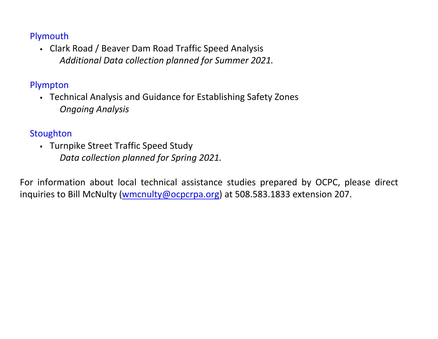## Plymouth

 Clark Road / Beaver Dam Road Traffic Speed Analysis *Additional Data collection planned for Summer 2021.* 

# Plympton

 Technical Analysis and Guidance for Establishing Safety Zones *Ongoing Analysis*

# **Stoughton**

 Turnpike Street Traffic Speed Study *Data collection planned for Spring 2021.* 

For information about local technical assistance studies prepared by OCPC, please direct inquiries to Bill McNulty [\(wmcnulty@ocpcrpa.org\)](mailto:wmcnulty@ocpcrpa.org) at 508.583.1833 extension 207.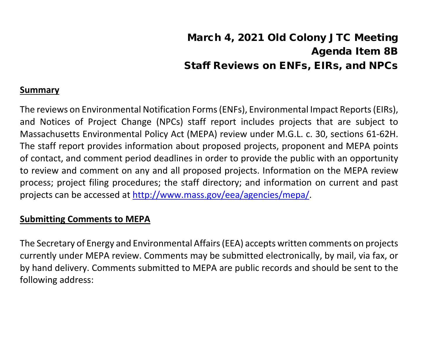# March 4, 2021 Old Colony JTC Meeting Agenda Item 8B Staff Reviews on ENFs, EIRs, and NPCs

### **Summary**

The reviews on Environmental Notification Forms (ENFs), Environmental Impact Reports (EIRs), and Notices of Project Change (NPCs) staff report includes projects that are subject to Massachusetts Environmental Policy Act (MEPA) review under M.G.L. c. 30, sections 61-62H. The staff report provides information about proposed projects, proponent and MEPA points of contact, and comment period deadlines in order to provide the public with an opportunity to review and comment on any and all proposed projects. Information on the MEPA review process; project filing procedures; the staff directory; and information on current and past projects can be accessed at [http://www.mass.gov/eea/agencies/mepa/.](about:blank)

### **Submitting Comments to MEPA**

The Secretary of Energy and Environmental Affairs (EEA) accepts written comments on projects currently under MEPA review. Comments may be submitted electronically, by mail, via fax, or by hand delivery. Comments submitted to MEPA are public records and should be sent to the following address: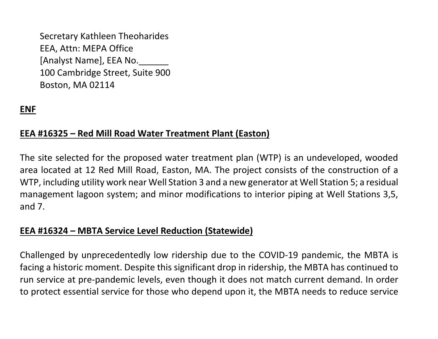Secretary Kathleen Theoharides EEA, Attn: MEPA Office [Analyst Name], EEA No. 100 Cambridge Street, Suite 900 Boston, MA 02114

# **ENF**

### **EEA #16325 – Red Mill Road Water Treatment Plant (Easton)**

The site selected for the proposed water treatment plan (WTP) is an undeveloped, wooded area located at 12 Red Mill Road, Easton, MA. The project consists of the construction of a WTP, including utility work near Well Station 3 and a new generator at Well Station 5; a residual management lagoon system; and minor modifications to interior piping at Well Stations 3,5, and 7.

#### **EEA #16324 – MBTA Service Level Reduction (Statewide)**

Challenged by unprecedentedly low ridership due to the COVID-19 pandemic, the MBTA is facing a historic moment. Despite this significant drop in ridership, the MBTA has continued to run service at pre-pandemic levels, even though it does not match current demand. In order to protect essential service for those who depend upon it, the MBTA needs to reduce service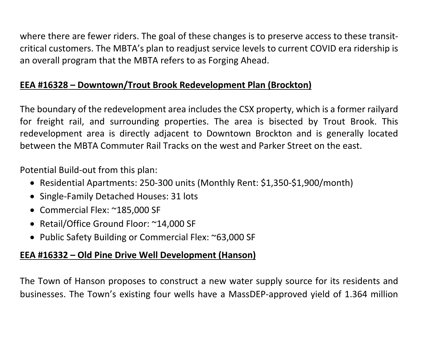where there are fewer riders. The goal of these changes is to preserve access to these transitcritical customers. The MBTA's plan to readjust service levels to current COVID era ridership is an overall program that the MBTA refers to as Forging Ahead.

# **EEA #16328 – Downtown/Trout Brook Redevelopment Plan (Brockton)**

The boundary of the redevelopment area includes the CSX property, which is a former railyard for freight rail, and surrounding properties. The area is bisected by Trout Brook. This redevelopment area is directly adjacent to Downtown Brockton and is generally located between the MBTA Commuter Rail Tracks on the west and Parker Street on the east.

Potential Build-out from this plan:

- Residential Apartments: 250-300 units (Monthly Rent: \$1,350-\$1,900/month)
- Single-Family Detached Houses: 31 lots
- Commercial Flex: ~185,000 SF
- Retail/Office Ground Floor: ~14,000 SF
- Public Safety Building or Commercial Flex: ~63,000 SF

## **EEA #16332 – Old Pine Drive Well Development (Hanson)**

The Town of Hanson proposes to construct a new water supply source for its residents and businesses. The Town's existing four wells have a MassDEP-approved yield of 1.364 million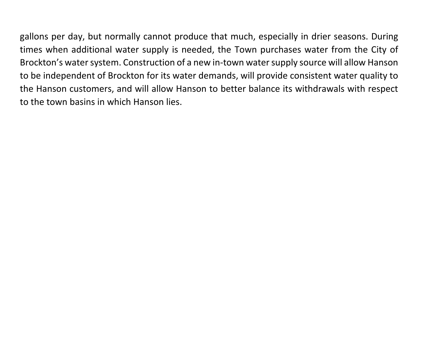gallons per day, but normally cannot produce that much, especially in drier seasons. During times when additional water supply is needed, the Town purchases water from the City of Brockton's water system. Construction of a new in-town water supply source will allow Hanson to be independent of Brockton for its water demands, will provide consistent water quality to the Hanson customers, and will allow Hanson to better balance its withdrawals with respect to the town basins in which Hanson lies.